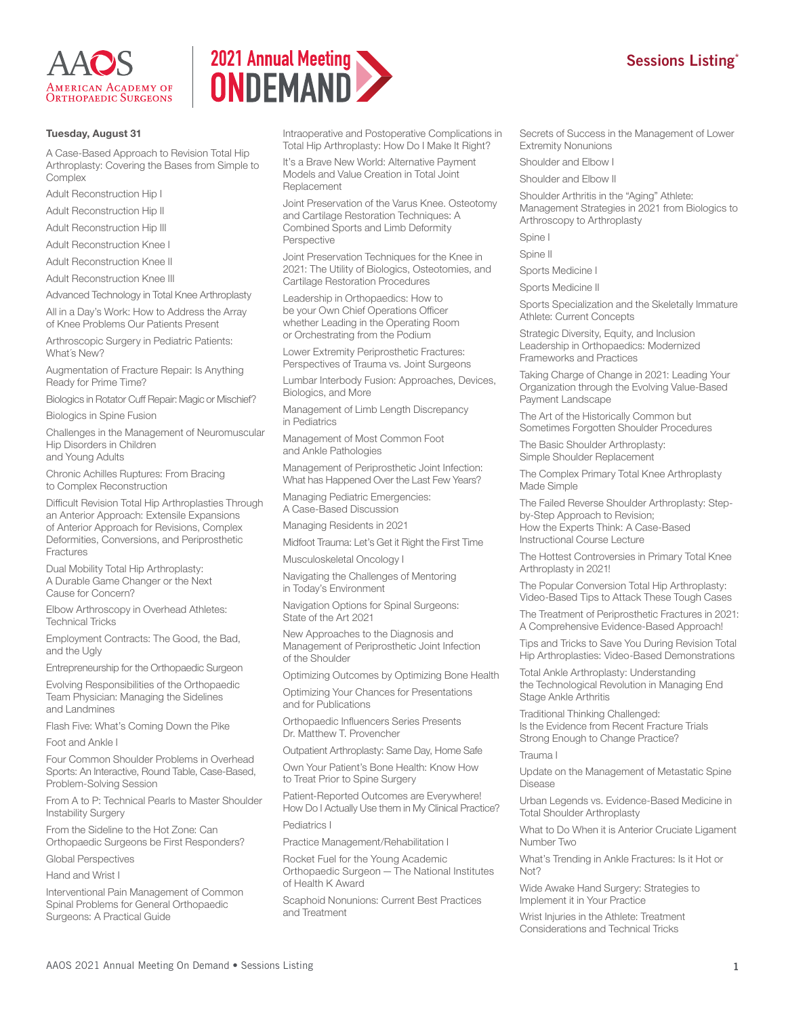



## **Tuesday, August 31**

A Case-Based Approach to Revision Total Hip Arthroplasty: Covering the Bases from Simple to Complex

Adult Reconstruction Hip I

Adult Reconstruction Hip II

Adult Reconstruction Hip III

Adult Reconstruction Knee I

Adult Reconstruction Knee II

Adult Reconstruction Knee III

Advanced Technology in Total Knee Arthroplasty

All in a Day's Work: How to Address the Array of Knee Problems Our Patients Present

Arthroscopic Surgery in Pediatric Patients: What´s New?

Augmentation of Fracture Repair: Is Anything Ready for Prime Time?

Biologics in Rotator Cuff Repair: Magic or Mischief?

Biologics in Spine Fusion

Challenges in the Management of Neuromuscular Hip Disorders in Children and Young Adults

Chronic Achilles Ruptures: From Bracing to Complex Reconstruction

Difficult Revision Total Hip Arthroplasties Through an Anterior Approach: Extensile Expansions of Anterior Approach for Revisions, Complex Deformities, Conversions, and Periprosthetic Fractures

Dual Mobility Total Hip Arthroplasty: A Durable Game Changer or the Next Cause for Concern?

Elbow Arthroscopy in Overhead Athletes: Technical Tricks

Employment Contracts: The Good, the Bad, and the Ugly

Entrepreneurship for the Orthopaedic Surgeon

Evolving Responsibilities of the Orthopaedic Team Physician: Managing the Sidelines and Landmines

Flash Five: What's Coming Down the Pike

Foot and Ankle I

Four Common Shoulder Problems in Overhead Sports: An Interactive, Round Table, Case-Based, Problem-Solving Session

From A to P: Technical Pearls to Master Shoulder Instability Surgery

From the Sideline to the Hot Zone: Can Orthopaedic Surgeons be First Responders?

Global Perspectives

Hand and Wrist I

Interventional Pain Management of Common Spinal Problems for General Orthopaedic Surgeons: A Practical Guide

Intraoperative and Postoperative Complications in Total Hip Arthroplasty: How Do I Make It Right?

It's a Brave New World: Alternative Payment Models and Value Creation in Total Joint **Replacement** 

Joint Preservation of the Varus Knee. Osteotomy and Cartilage Restoration Techniques: A Combined Sports and Limb Deformity Perspective

Joint Preservation Techniques for the Knee in 2021: The Utility of Biologics, Osteotomies, and Cartilage Restoration Procedures

Leadership in Orthopaedics: How to be your Own Chief Operations Officer whether Leading in the Operating Room or Orchestrating from the Podium

Lower Extremity Periprosthetic Fractures: Perspectives of Trauma vs. Joint Surgeons

Lumbar Interbody Fusion: Approaches, Devices, Biologics, and More

Management of Limb Length Discrepancy in Pediatrics

Management of Most Common Foot and Ankle Pathologies

Management of Periprosthetic Joint Infection: What has Happened Over the Last Few Years?

Managing Pediatric Emergencies: A Case-Based Discussion

Managing Residents in 2021

Midfoot Trauma: Let's Get it Right the First Time

Musculoskeletal Oncology I

Navigating the Challenges of Mentoring in Today's Environment

Navigation Options for Spinal Surgeons: State of the Art 2021

New Approaches to the Diagnosis and Management of Periprosthetic Joint Infection of the Shoulder

Optimizing Outcomes by Optimizing Bone Health

Optimizing Your Chances for Presentations and for Publications

Orthopaedic Influencers Series Presents Dr. Matthew T. Provencher

Outpatient Arthroplasty: Same Day, Home Safe

Own Your Patient's Bone Health: Know How to Treat Prior to Spine Surgery

Patient-Reported Outcomes are Everywhere! How Do I Actually Use them in My Clinical Practice? Pediatrics I

Practice Management/Rehabilitation I

Rocket Fuel for the Young Academic Orthopaedic Surgeon — The National Institutes of Health K Award

Scaphoid Nonunions: Current Best Practices and Treatment

Secrets of Success in the Management of Lower Extremity Nonunions

Shoulder and Elbow I

Shoulder and Elbow II

Shoulder Arthritis in the "Aging" Athlete: Management Strategies in 2021 from Biologics to Arthroscopy to Arthroplasty

Spine I

Spine II

Sports Medicine I

Sports Medicine II

Sports Specialization and the Skeletally Immature Athlete: Current Concepts

Strategic Diversity, Equity, and Inclusion Leadership in Orthopaedics: Modernized Frameworks and Practices

Taking Charge of Change in 2021: Leading Your Organization through the Evolving Value-Based Payment Landscape

The Art of the Historically Common but Sometimes Forgotten Shoulder Procedures

The Basic Shoulder Arthroplasty: Simple Shoulder Replacement

The Complex Primary Total Knee Arthroplasty Made Simple

The Failed Reverse Shoulder Arthroplasty: Stepby-Step Approach to Revision; How the Experts Think: A Case-Based Instructional Course Lecture

The Hottest Controversies in Primary Total Knee Arthroplasty in 2021!

The Popular Conversion Total Hip Arthroplasty: Video-Based Tips to Attack These Tough Cases

The Treatment of Periprosthetic Fractures in 2021: A Comprehensive Evidence-Based Approach!

Tips and Tricks to Save You During Revision Total Hip Arthroplasties: Video-Based Demonstrations

Total Ankle Arthroplasty: Understanding the Technological Revolution in Managing End Stage Ankle Arthritis

Traditional Thinking Challenged: Is the Evidence from Recent Fracture Trials Strong Enough to Change Practice?

Trauma I

Update on the Management of Metastatic Spine Disease

Urban Legends vs. Evidence-Based Medicine in Total Shoulder Arthroplasty

What to Do When it is Anterior Cruciate Ligament Number Two

What's Trending in Ankle Fractures: Is it Hot or Not?

Wide Awake Hand Surgery: Strategies to Implement it in Your Practice

Wrist Injuries in the Athlete: Treatment Considerations and Technical Tricks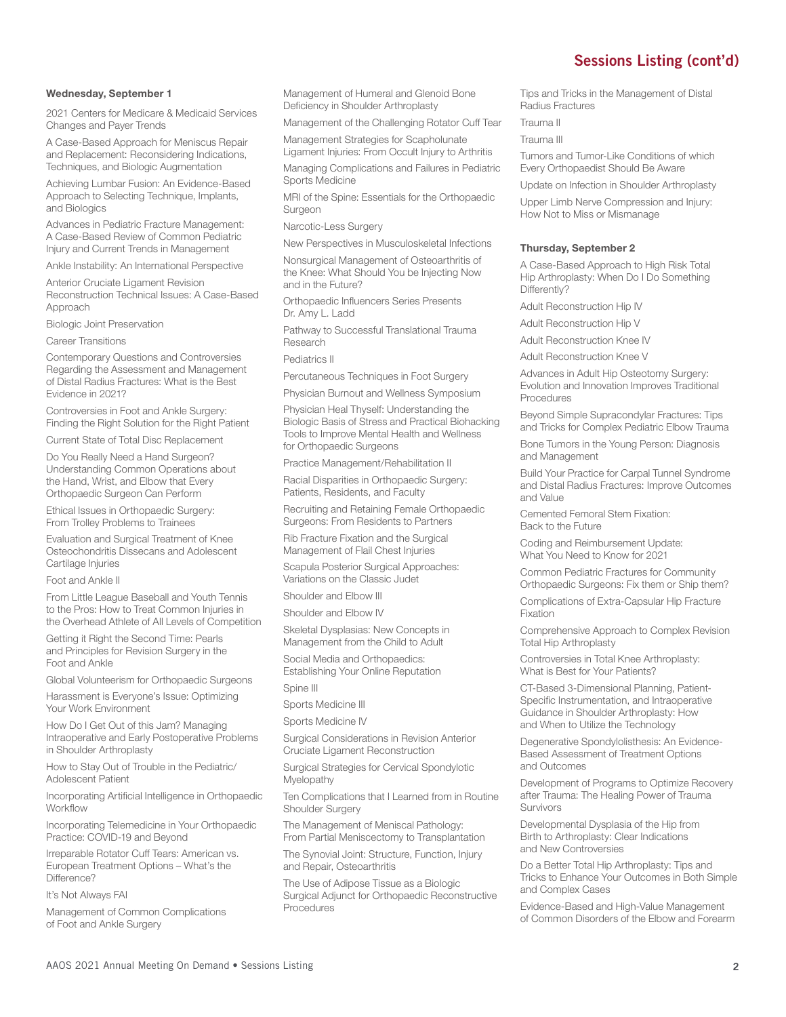### **Wednesday, September 1**

2021 Centers for Medicare & Medicaid Services Changes and Payer Trends

A Case-Based Approach for Meniscus Repair and Replacement: Reconsidering Indications, Techniques, and Biologic Augmentation

Achieving Lumbar Fusion: An Evidence-Based Approach to Selecting Technique, Implants, and Biologics

Advances in Pediatric Fracture Management: A Case-Based Review of Common Pediatric Injury and Current Trends in Management

Ankle Instability: An International Perspective

Anterior Cruciate Ligament Revision Reconstruction Technical Issues: A Case-Based Approach

Biologic Joint Preservation

Career Transitions

Contemporary Questions and Controversies Regarding the Assessment and Management of Distal Radius Fractures: What is the Best Evidence in 2021?

Controversies in Foot and Ankle Surgery: Finding the Right Solution for the Right Patient

Current State of Total Disc Replacement

Do You Really Need a Hand Surgeon? Understanding Common Operations about the Hand, Wrist, and Elbow that Every Orthopaedic Surgeon Can Perform

Ethical Issues in Orthopaedic Surgery: From Trolley Problems to Trainees

Evaluation and Surgical Treatment of Knee Osteochondritis Dissecans and Adolescent Cartilage Injuries

Foot and Ankle II

From Little League Baseball and Youth Tennis to the Pros: How to Treat Common Injuries in the Overhead Athlete of All Levels of Competition

Getting it Right the Second Time: Pearls and Principles for Revision Surgery in the Foot and Ankle

Global Volunteerism for Orthopaedic Surgeons

Harassment is Everyone's Issue: Optimizing Your Work Environment

How Do I Get Out of this Jam? Managing Intraoperative and Early Postoperative Problems in Shoulder Arthroplasty

How to Stay Out of Trouble in the Pediatric/ Adolescent Patient

Incorporating Artificial Intelligence in Orthopaedic Workflow

Incorporating Telemedicine in Your Orthopaedic Practice: COVID-19 and Beyond

Irreparable Rotator Cuff Tears: American vs. European Treatment Options – What's the Difference?

It's Not Always FAI

Management of Common Complications of Foot and Ankle Surgery

Management of Humeral and Glenoid Bone Deficiency in Shoulder Arthroplasty

Management of the Challenging Rotator Cuff Tear

Management Strategies for Scapholunate Ligament Injuries: From Occult Injury to Arthritis

Managing Complications and Failures in Pediatric Sports Medicine

MRI of the Spine: Essentials for the Orthopaedic Surgeon

Narcotic-Less Surgery

New Perspectives in Musculoskeletal Infections

Nonsurgical Management of Osteoarthritis of the Knee: What Should You be Injecting Now and in the Future?

Orthopaedic Influencers Series Presents Dr. Amy L. Ladd

Pathway to Successful Translational Trauma Research

Pediatrics II

Percutaneous Techniques in Foot Surgery

Physician Burnout and Wellness Symposium

Physician Heal Thyself: Understanding the Biologic Basis of Stress and Practical Biohacking Tools to Improve Mental Health and Wellness for Orthopaedic Surgeons

Practice Management/Rehabilitation II

Racial Disparities in Orthopaedic Surgery: Patients, Residents, and Faculty

Recruiting and Retaining Female Orthopaedic Surgeons: From Residents to Partners

Rib Fracture Fixation and the Surgical Management of Flail Chest Injuries

Scapula Posterior Surgical Approaches: Variations on the Classic Judet

Shoulder and Elbow III

Shoulder and Elbow IV

Skeletal Dysplasias: New Concepts in Management from the Child to Adult

Social Media and Orthopaedics: Establishing Your Online Reputation

Spine III

Sports Medicine III

Sports Medicine IV

Surgical Considerations in Revision Anterior Cruciate Ligament Reconstruction

Surgical Strategies for Cervical Spondylotic Myelopathy

Ten Complications that I Learned from in Routine Shoulder Surgery

The Management of Meniscal Pathology: From Partial Meniscectomy to Transplantation

The Synovial Joint: Structure, Function, Injury and Repair, Osteoarthritis

The Use of Adipose Tissue as a Biologic Surgical Adjunct for Orthopaedic Reconstructive Procedures

Tips and Tricks in the Management of Distal Radius Fractures

Trauma II

Trauma III

Tumors and Tumor-Like Conditions of which Every Orthopaedist Should Be Aware

Update on Infection in Shoulder Arthroplasty

Upper Limb Nerve Compression and Injury: How Not to Miss or Mismanage

#### **Thursday, September 2**

A Case-Based Approach to High Risk Total Hip Arthroplasty: When Do I Do Something Differently?

Adult Reconstruction Hip IV

Adult Reconstruction Hip V

Adult Reconstruction Knee IV

Adult Reconstruction Knee V

Advances in Adult Hip Osteotomy Surgery: Evolution and Innovation Improves Traditional Procedures

Beyond Simple Supracondylar Fractures: Tips and Tricks for Complex Pediatric Elbow Trauma

Bone Tumors in the Young Person: Diagnosis and Management

Build Your Practice for Carpal Tunnel Syndrome and Distal Radius Fractures: Improve Outcomes and Value

Cemented Femoral Stem Fixation: Back to the Future

Coding and Reimbursement Update: What You Need to Know for 2021

Common Pediatric Fractures for Community Orthopaedic Surgeons: Fix them or Ship them?

Complications of Extra-Capsular Hip Fracture Fixation

Comprehensive Approach to Complex Revision Total Hip Arthroplasty

Controversies in Total Knee Arthroplasty: What is Best for Your Patients?

CT-Based 3-Dimensional Planning, Patient-Specific Instrumentation, and Intraoperative Guidance in Shoulder Arthroplasty: How and When to Utilize the Technology

Degenerative Spondylolisthesis: An Evidence-Based Assessment of Treatment Options and Outcomes

Development of Programs to Optimize Recovery after Trauma: The Healing Power of Trauma Survivors

Developmental Dysplasia of the Hip from Birth to Arthroplasty: Clear Indications and New Controversies

Do a Better Total Hip Arthroplasty: Tips and Tricks to Enhance Your Outcomes in Both Simple and Complex Cases

Evidence-Based and High-Value Management of Common Disorders of the Elbow and Forearm

# **Sessions Listing (cont'd)**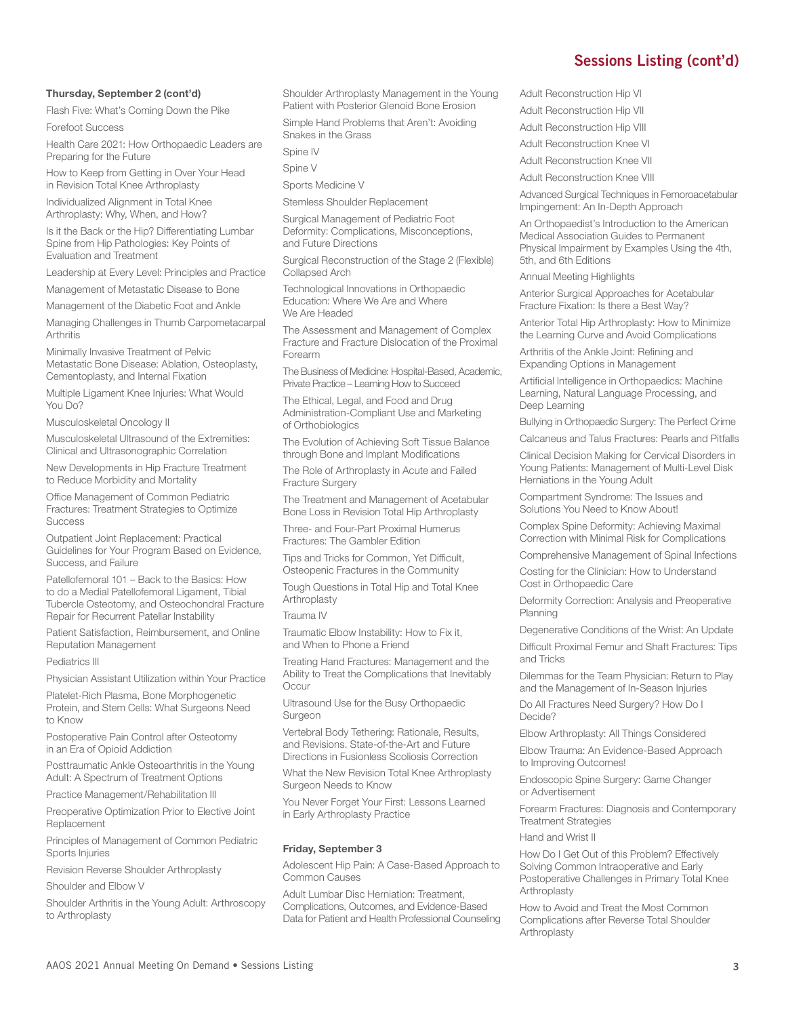## **Thursday, September 2 (cont'd)**

Flash Five: What's Coming Down the Pike

Forefoot Success

Health Care 2021: How Orthopaedic Leaders are Preparing for the Future

How to Keep from Getting in Over Your Head in Revision Total Knee Arthroplasty

Individualized Alignment in Total Knee Arthroplasty: Why, When, and How?

Is it the Back or the Hip? Differentiating Lumbar Spine from Hip Pathologies: Key Points of Evaluation and Treatment

Leadership at Every Level: Principles and Practice

Management of Metastatic Disease to Bone

Management of the Diabetic Foot and Ankle

Managing Challenges in Thumb Carpometacarpal **Arthritis** 

Minimally Invasive Treatment of Pelvic Metastatic Bone Disease: Ablation, Osteoplasty, Cementoplasty, and Internal Fixation

Multiple Ligament Knee Injuries: What Would You Do?

Musculoskeletal Oncology II

Musculoskeletal Ultrasound of the Extremities: Clinical and Ultrasonographic Correlation

New Developments in Hip Fracture Treatment to Reduce Morbidity and Mortality

Office Management of Common Pediatric Fractures: Treatment Strategies to Optimize **Success** 

Outpatient Joint Replacement: Practical Guidelines for Your Program Based on Evidence, Success, and Failure

Patellofemoral 101 – Back to the Basics: How to do a Medial Patellofemoral Ligament, Tibial Tubercle Osteotomy, and Osteochondral Fracture Repair for Recurrent Patellar Instability

Patient Satisfaction, Reimbursement, and Online Reputation Management

Pediatrics III

Physician Assistant Utilization within Your Practice

Platelet-Rich Plasma, Bone Morphogenetic Protein, and Stem Cells: What Surgeons Need to Know

Postoperative Pain Control after Osteotomy in an Era of Opioid Addiction

Posttraumatic Ankle Osteoarthritis in the Young Adult: A Spectrum of Treatment Options

Practice Management/Rehabilitation III

Preoperative Optimization Prior to Elective Joint Replacement

Principles of Management of Common Pediatric Sports Injuries

Revision Reverse Shoulder Arthroplasty

Shoulder and Elbow V

Shoulder Arthritis in the Young Adult: Arthroscopy to Arthroplasty

Shoulder Arthroplasty Management in the Young Patient with Posterior Glenoid Bone Erosion

Simple Hand Problems that Aren't: Avoiding Snakes in the Grass

Spine IV

Spine V

Sports Medicine V

Stemless Shoulder Replacement

Surgical Management of Pediatric Foot Deformity: Complications, Misconceptions, and Future Directions

Surgical Reconstruction of the Stage 2 (Flexible) Collapsed Arch

Technological Innovations in Orthopaedic Education: Where We Are and Where We Are Headed

The Assessment and Management of Complex Fracture and Fracture Dislocation of the Proximal Forearm

The Business of Medicine: Hospital-Based, Academic, Private Practice – Learning How to Succeed

The Ethical, Legal, and Food and Drug Administration-Compliant Use and Marketing of Orthobiologics

The Evolution of Achieving Soft Tissue Balance through Bone and Implant Modifications

The Role of Arthroplasty in Acute and Failed Fracture Surgery

The Treatment and Management of Acetabular Bone Loss in Revision Total Hip Arthroplasty

Three- and Four-Part Proximal Humerus Fractures: The Gambler Edition

Tips and Tricks for Common, Yet Difficult, Osteopenic Fractures in the Community

Tough Questions in Total Hip and Total Knee Arthroplasty

### Trauma IV

Traumatic Elbow Instability: How to Fix it, and When to Phone a Friend

Treating Hand Fractures: Management and the Ability to Treat the Complications that Inevitably Occur

Ultrasound Use for the Busy Orthopaedic Surgeon

Vertebral Body Tethering: Rationale, Results, and Revisions. State-of-the-Art and Future Directions in Fusionless Scoliosis Correction

What the New Revision Total Knee Arthroplasty Surgeon Needs to Know

You Never Forget Your First: Lessons Learned in Early Arthroplasty Practice

#### **Friday, September 3**

Adolescent Hip Pain: A Case-Based Approach to Common Causes

Adult Lumbar Disc Herniation: Treatment, Complications, Outcomes, and Evidence-Based Data for Patient and Health Professional Counseling Adult Reconstruction Hip VI

Adult Reconstruction Hip VII

Adult Reconstruction Hip VIII Adult Reconstruction Knee VI

Adult Reconstruction Knee VII

Adult Reconstruction Knee VIII

Advanced Surgical Techniques in Femoroacetabular Impingement: An In-Depth Approach

An Orthopaedist's Introduction to the American Medical Association Guides to Permanent Physical Impairment by Examples Using the 4th, 5th, and 6th Editions

Annual Meeting Highlights

Anterior Surgical Approaches for Acetabular Fracture Fixation: Is there a Best Way?

Anterior Total Hip Arthroplasty: How to Minimize the Learning Curve and Avoid Complications

Arthritis of the Ankle Joint: Refining and Expanding Options in Management

Artificial Intelligence in Orthopaedics: Machine Learning, Natural Language Processing, and Deep Learning

Bullying in Orthopaedic Surgery: The Perfect Crime

Calcaneus and Talus Fractures: Pearls and Pitfalls Clinical Decision Making for Cervical Disorders in Young Patients: Management of Multi-Level Disk Herniations in the Young Adult

Compartment Syndrome: The Issues and Solutions You Need to Know About!

Complex Spine Deformity: Achieving Maximal Correction with Minimal Risk for Complications

Comprehensive Management of Spinal Infections

Costing for the Clinician: How to Understand Cost in Orthopaedic Care

Deformity Correction: Analysis and Preoperative Planning

Degenerative Conditions of the Wrist: An Update

Difficult Proximal Femur and Shaft Fractures: Tips and Tricks

Dilemmas for the Team Physician: Return to Play and the Management of In-Season Injuries

Do All Fractures Need Surgery? How Do I Decide?

Elbow Arthroplasty: All Things Considered

Elbow Trauma: An Evidence-Based Approach to Improving Outcomes!

Endoscopic Spine Surgery: Game Changer or Advertisement

Forearm Fractures: Diagnosis and Contemporary Treatment Strategies

### Hand and Wrist II

How Do I Get Out of this Problem? Effectively Solving Common Intraoperative and Early Postoperative Challenges in Primary Total Knee Arthroplasty

How to Avoid and Treat the Most Common Complications after Reverse Total Shoulder Arthroplasty

# **Sessions Listing (cont'd)**